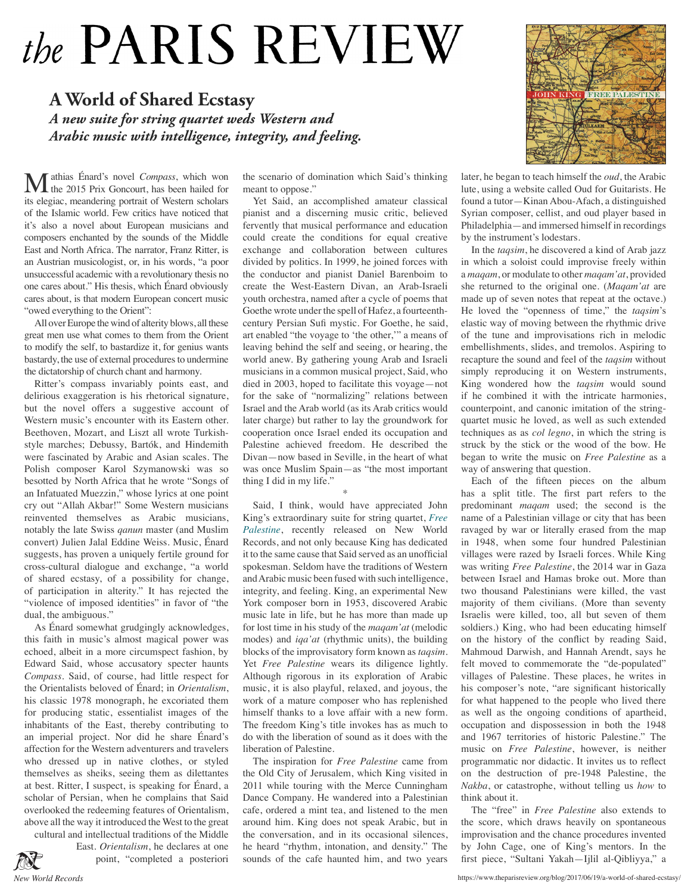## the PARIS REVIEW

## **A World of Shared Ecstasy** *A new suite for string quartet weds Western and Arabic music with intelligence, integrity, and feeling.*

**M** athias Énard's novel *Compass*, which won the 2015 Prix Goncourt, has been hailed for its elegiac, meandering portrait of Western scholars of the Islamic world. Few critics have noticed that it's also a novel about European musicians and composers enchanted by the sounds of the Middle East and North Africa. The narrator, Franz Ritter, is an Austrian musicologist, or, in his words, "a poor unsuccessful academic with a revolutionary thesis no one cares about." His thesis, which Énard obviously cares about, is that modern European concert music "owed everything to the Orient":

All over Europe the wind of alterity blows, all these great men use what comes to them from the Orient to modify the self, to bastardize it, for genius wants bastardy, the use of external procedures to undermine the dictatorship of church chant and harmony.

Ritter's compass invariably points east, and delirious exaggeration is his rhetorical signature, but the novel offers a suggestive account of Western music's encounter with its Eastern other. Beethoven, Mozart, and Liszt all wrote Turkishstyle marches; Debussy, Bartók, and Hindemith were fascinated by Arabic and Asian scales. The Polish composer Karol Szymanowski was so besotted by North Africa that he wrote "Songs of an Infatuated Muezzin," whose lyrics at one point cry out "Allah Akbar!" Some Western musicians reinvented themselves as Arabic musicians, notably the late Swiss *qanun* master (and Muslim convert) Julien Jalal Eddine Weiss. Music, Énard suggests, has proven a uniquely fertile ground for cross-cultural dialogue and exchange, "a world of shared ecstasy, of a possibility for change, of participation in alterity." It has rejected the "violence of imposed identities" in favor of "the dual, the ambiguous."

As Énard somewhat grudgingly acknowledges, this faith in music's almost magical power was echoed, albeit in a more circumspect fashion, by Edward Said, whose accusatory specter haunts *Compass*. Said, of course, had little respect for the Orientalists beloved of Énard; in *Orientalism*, his classic 1978 monograph, he excoriated them for producing static, essentialist images of the inhabitants of the East, thereby contributing to an imperial project. Nor did he share Énard's affection for the Western adventurers and travelers who dressed up in native clothes, or styled themselves as sheiks, seeing them as dilettantes at best. Ritter, I suspect, is speaking for Énard, a scholar of Persian, when he complains that Said overlooked the redeeming features of Orientalism, above all the way it introduced the West to the great cultural and intellectual traditions of the Middle

East. *Orientalism*, he declares at one point, "completed a posteriori

the scenario of domination which Said's thinking meant to oppose."

Yet Said, an accomplished amateur classical pianist and a discerning music critic, believed fervently that musical performance and education could create the conditions for equal creative exchange and collaboration between cultures divided by politics. In 1999, he joined forces with the conductor and pianist Daniel Barenboim to create the West-Eastern Divan, an Arab-Israeli youth orchestra, named after a cycle of poems that Goethe wrote under the spell of Hafez, a fourteenthcentury Persian Sufi mystic. For Goethe, he said, art enabled "the voyage to 'the other,'" a means of leaving behind the self and seeing, or hearing, the world anew. By gathering young Arab and Israeli musicians in a common musical project, Said, who died in 2003, hoped to facilitate this voyage—not for the sake of "normalizing" relations between Israel and the Arab world (as its Arab critics would later charge) but rather to lay the groundwork for cooperation once Israel ended its occupation and Palestine achieved freedom. He described the Divan—now based in Seville, in the heart of what was once Muslim Spain—as "the most important thing I did in my life."

Said, I think, would have appreciated John King's extraordinary suite for string quartet, *Free Palestine*, recently released on New World Records, and not only because King has dedicated it to the same cause that Said served as an unofficial spokesman. Seldom have the traditions of Western and Arabic music been fused with such intelligence, integrity, and feeling. King, an experimental New York composer born in 1953, discovered Arabic music late in life, but he has more than made up for lost time in his study of the *maqam'at* (melodic modes) and *iqa'at* (rhythmic units), the building blocks of the improvisatory form known as *taqsim*. Yet *Free Palestine* wears its diligence lightly. Although rigorous in its exploration of Arabic music, it is also playful, relaxed, and joyous, the work of a mature composer who has replenished himself thanks to a love affair with a new form. The freedom King's title invokes has as much to do with the liberation of sound as it does with the liberation of Palestine.

\*

The inspiration for *Free Palestine* came from the Old City of Jerusalem, which King visited in 2011 while touring with the Merce Cunningham Dance Company. He wandered into a Palestinian cafe, ordered a mint tea, and listened to the men around him. King does not speak Arabic, but in the conversation, and in its occasional silences, he heard "rhythm, intonation, and density." The sounds of the cafe haunted him, and two years



later, he began to teach himself the *oud*, the Arabic lute, using a website called Oud for Guitarists. He found a tutor—Kinan Abou-Afach, a distinguished Syrian composer, cellist, and oud player based in Philadelphia—and immersed himself in recordings by the instrument's lodestars.

In the *taqsim*, he discovered a kind of Arab jazz in which a soloist could improvise freely within a *maqam*, or modulate to other *maqam'at*, provided she returned to the original one. (*Maqam'at* are made up of seven notes that repeat at the octave.) He loved the "openness of time," the *taqsim*'s elastic way of moving between the rhythmic drive of the tune and improvisations rich in melodic embellishments, slides, and tremolos. Aspiring to recapture the sound and feel of the *taqsim* without simply reproducing it on Western instruments, King wondered how the *taqsim* would sound if he combined it with the intricate harmonies, counterpoint, and canonic imitation of the stringquartet music he loved, as well as such extended techniques as as *col legno*, in which the string is struck by the stick or the wood of the bow. He began to write the music on *Free Palestine* as a way of answering that question.

Each of the fifteen pieces on the album has a split title. The first part refers to the predominant *maqam* used; the second is the name of a Palestinian village or city that has been ravaged by war or literally erased from the map in 1948, when some four hundred Palestinian villages were razed by Israeli forces. While King was writing *Free Palestine*, the 2014 war in Gaza between Israel and Hamas broke out. More than two thousand Palestinians were killed, the vast majority of them civilians. (More than seventy Israelis were killed, too, all but seven of them soldiers.) King, who had been educating himself on the history of the conflict by reading Said, Mahmoud Darwish, and Hannah Arendt, says he felt moved to commemorate the "de-populated" villages of Palestine. These places, he writes in his composer's note, "are significant historically for what happened to the people who lived there as well as the ongoing conditions of apartheid, occupation and dispossession in both the 1948 and 1967 territories of historic Palestine." The music on *Free Palestine*, however, is neither programmatic nor didactic. It invites us to reflect on the destruction of pre-1948 Palestine, the *Nakba*, or catastrophe, without telling us *how* to think about it.

The "free" in *Free Palestine* also extends to the score, which draws heavily on spontaneous improvisation and the chance procedures invented by John Cage, one of King's mentors. In the first piece, "Sultani Yakah—Ijlil al-Qibliyya," a